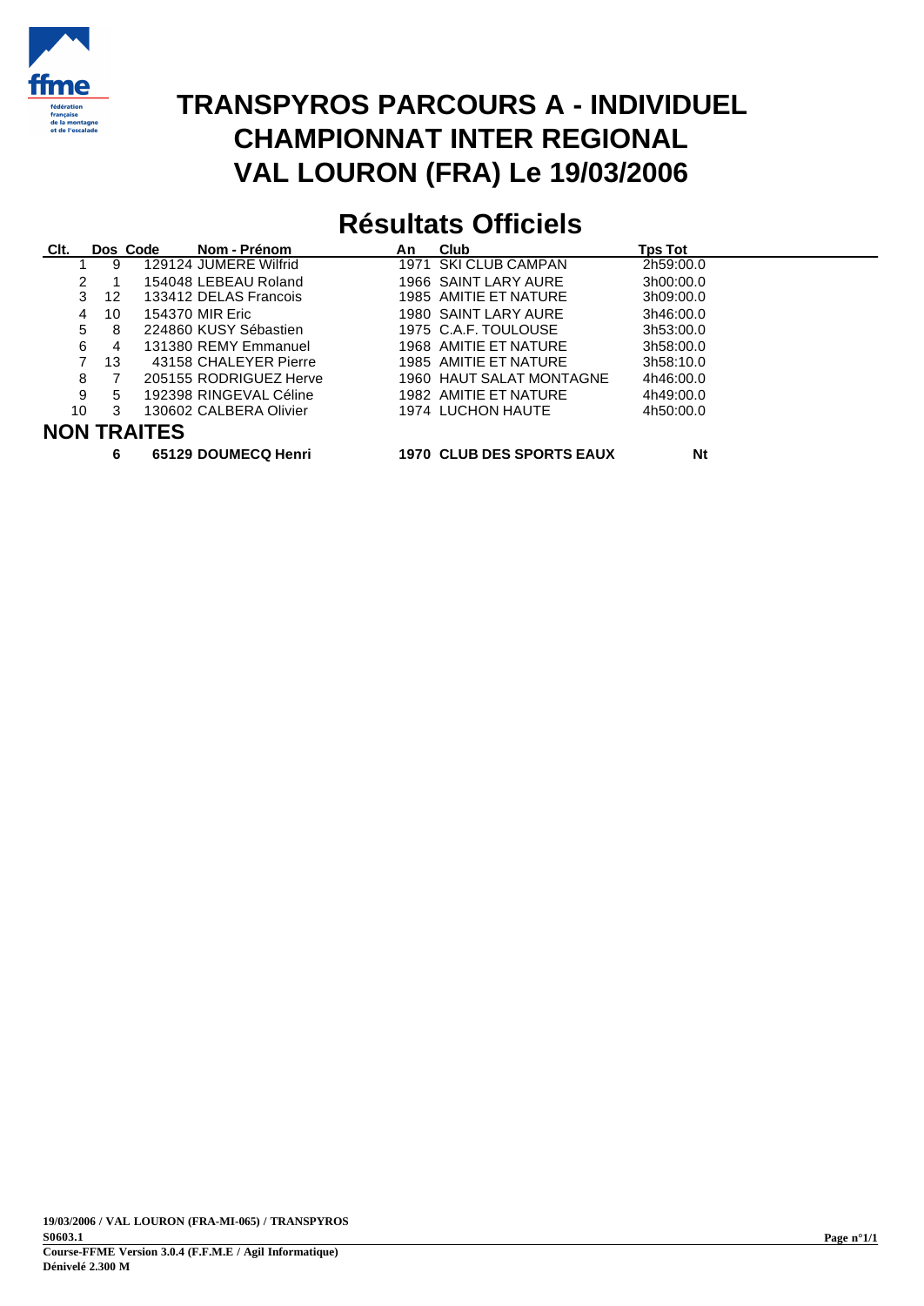

## **TRANSPYROS PARCOURS A - INDIVIDUEL CHAMPIONNAT INTER REGIONAL VAL LOURON (FRA) Le 19/03/2006**

# **Résultats Officiels**

| CIt. |               | Dos Code           | Nom - Prénom           | An | Club                     | <b>Tps Tot</b> |
|------|---------------|--------------------|------------------------|----|--------------------------|----------------|
|      | 9             |                    | 129124 JUMERE Wilfrid  |    | 1971 SKI CLUB CAMPAN     | 2h59:00.0      |
|      | $\mathcal{P}$ |                    | 154048 LEBEAU Roland   |    | 1966 SAINT LARY AURE     | 3h00:00.0      |
|      | 3<br>-12      |                    | 133412 DELAS Francois  |    | 1985 AMITIE ET NATURE    | 3h09:00.0      |
|      | 10<br>4       |                    | 154370 MIR Eric        |    | 1980 SAINT LARY AURE     | 3h46:00.0      |
|      | 5<br>8        |                    | 224860 KUSY Sébastien  |    | 1975 C.A.F. TOULOUSE     | 3h53:00.0      |
|      | 6<br>4        |                    | 131380 REMY Emmanuel   |    | 1968 AMITIE ET NATURE    | 3h58:00.0      |
|      | 13            |                    | 43158 CHALEYER Pierre  |    | 1985 AMITIE ET NATURE    | 3h58:10.0      |
| 8    |               |                    | 205155 RODRIGUEZ Herve |    | 1960 HAUT SALAT MONTAGNE | 4h46:00.0      |
| 9    | 5             |                    | 192398 RINGEVAL Céline |    | 1982 AMITIE ET NATURE    | 4h49:00.0      |
| 10   | 3             |                    | 130602 CALBERA Olivier |    | 1974 LUCHON HAUTE        | 4h50:00.0      |
|      |               | <b>NON TRAITES</b> |                        |    |                          |                |

- 
- **6 65129 DOUMECQ Henri 1970 CLUB DES SPORTS EAUX Nt**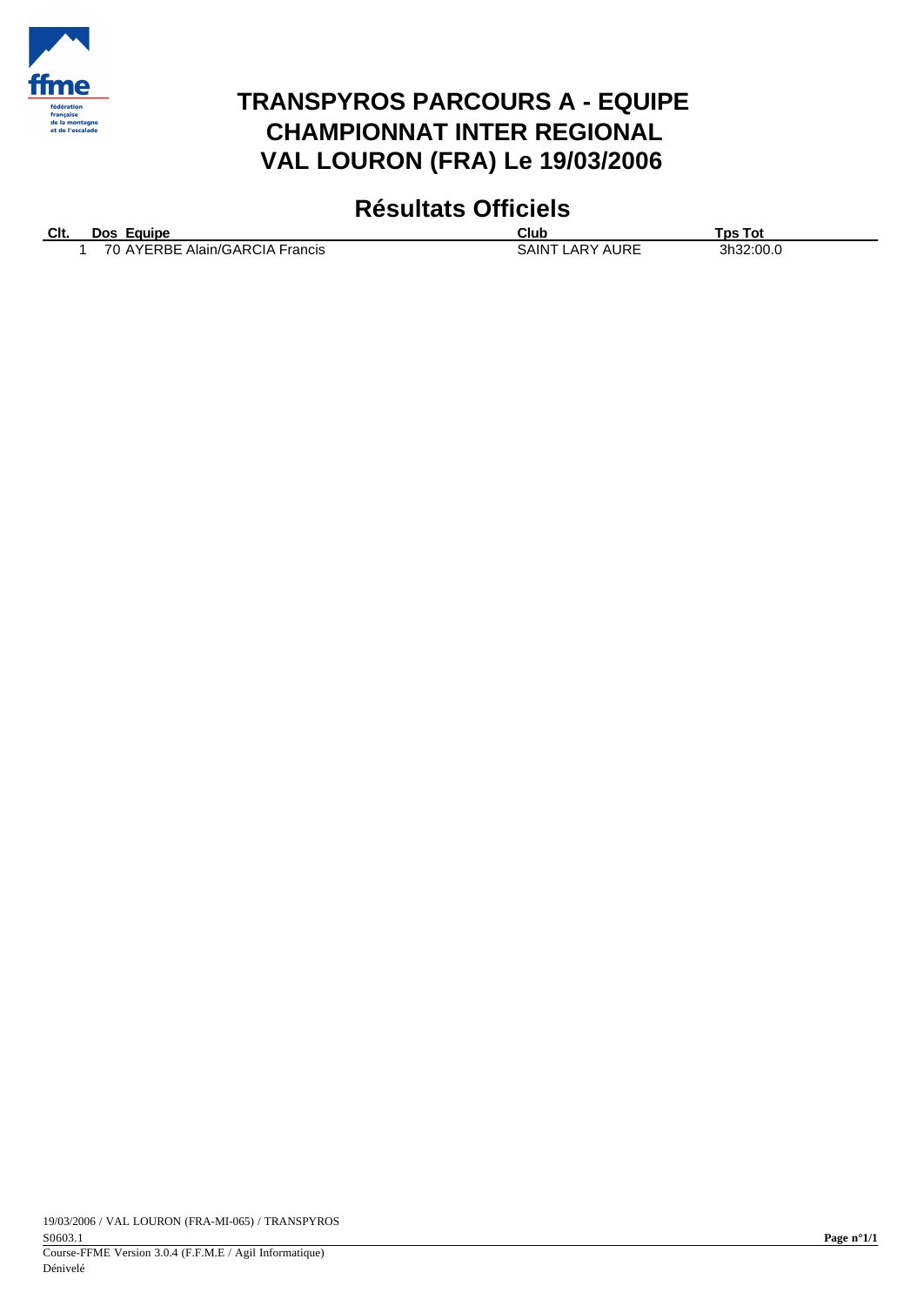

#### **TRANSPYROS PARCOURS A - EQUIPE CHAMPIONNAT INTER REGIONAL VAL LOURON (FRA) Le 19/03/2006**

### **Résultats Officiels**

| CIt. | Dos Equipe                     | Club                   | Tps Tot   |
|------|--------------------------------|------------------------|-----------|
|      | 70 AYERBE Alain/GARCIA Francis | <b>SAINT LARY AURE</b> | 3h32:00.0 |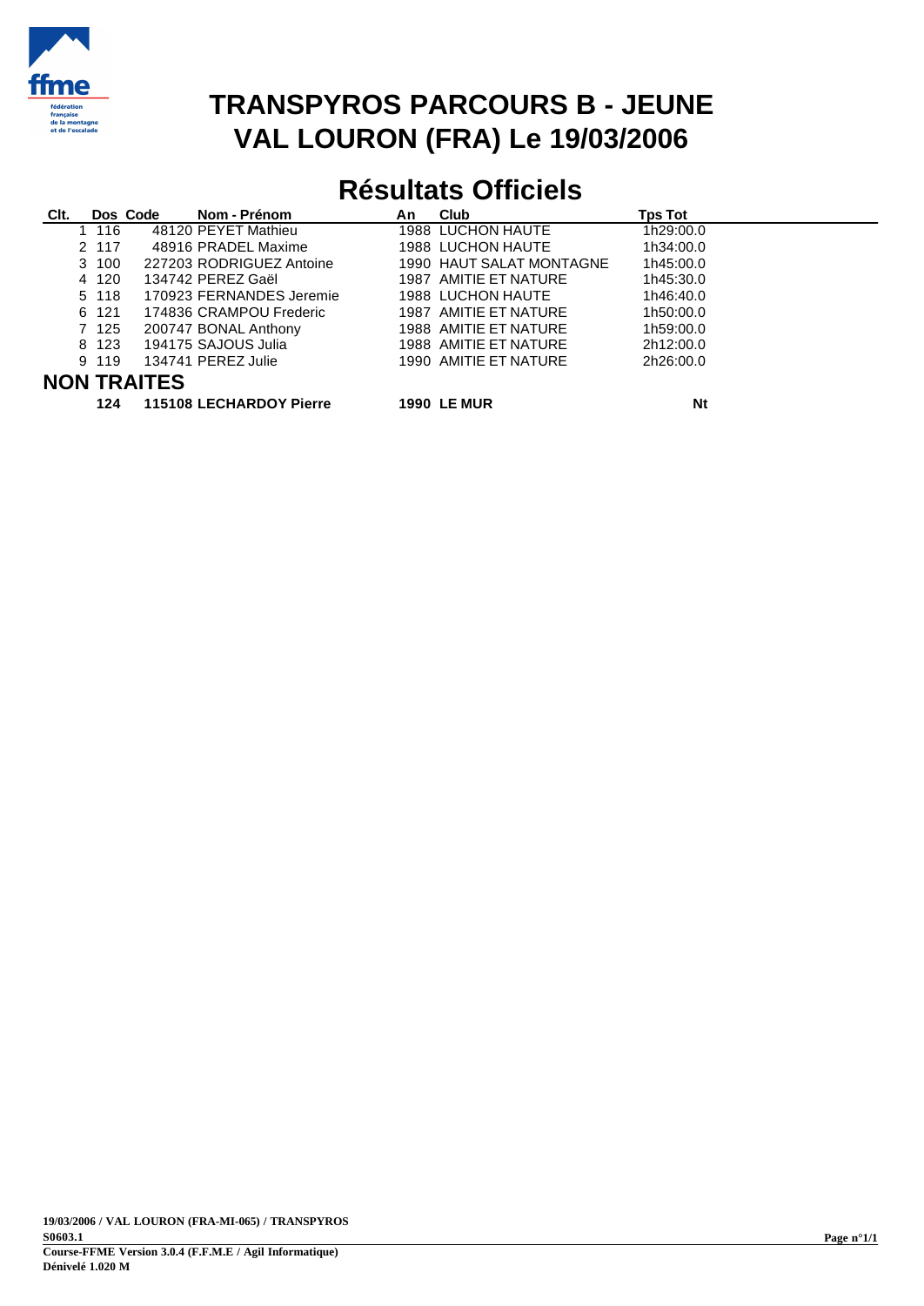

## **TRANSPYROS PARCOURS B - JEUNE VAL LOURON (FRA) Le 19/03/2006**

## **Résultats Officiels**

| Clt. |                    | Dos Code | Nom - Prénom             | An | Club                     | <b>Tps Tot</b> |  |
|------|--------------------|----------|--------------------------|----|--------------------------|----------------|--|
|      | 1 116              |          | 48120 PEYET Mathieu      |    | 1988 LUCHON HAUTE        | 1h29:00.0      |  |
|      | 2 117              |          | 48916 PRADEL Maxime      |    | 1988 LUCHON HAUTE        | 1h34:00.0      |  |
|      | 3 100              |          | 227203 RODRIGUEZ Antoine |    | 1990 HAUT SALAT MONTAGNE | 1h45:00.0      |  |
|      | 4 120              |          | 134742 PEREZ Gaël        |    | 1987 AMITIE ET NATURE    | 1h45:30.0      |  |
|      | 5 118              |          | 170923 FERNANDES Jeremie |    | 1988 LUCHON HAUTE        | 1h46:40.0      |  |
|      | 6 121              |          | 174836 CRAMPOU Frederic  |    | 1987 AMITIE ET NATURE    | 1h50:00.0      |  |
|      | 7 125              |          | 200747 BONAL Anthony     |    | 1988 AMITIE ET NATURE    | 1h59:00.0      |  |
|      | 8 1 2 3            |          | 194175 SAJOUS Julia      |    | 1988 AMITIE ET NATURE    | 2h12:00.0      |  |
|      | 9 119              |          | 134741 PEREZ Julie       |    | 1990 AMITIE ET NATURE    | 2h26:00.0      |  |
|      | <b>NON TRAITES</b> |          |                          |    |                          |                |  |

**124 115108 LECHARDOY Pierre 1990 LE MUR Nt**